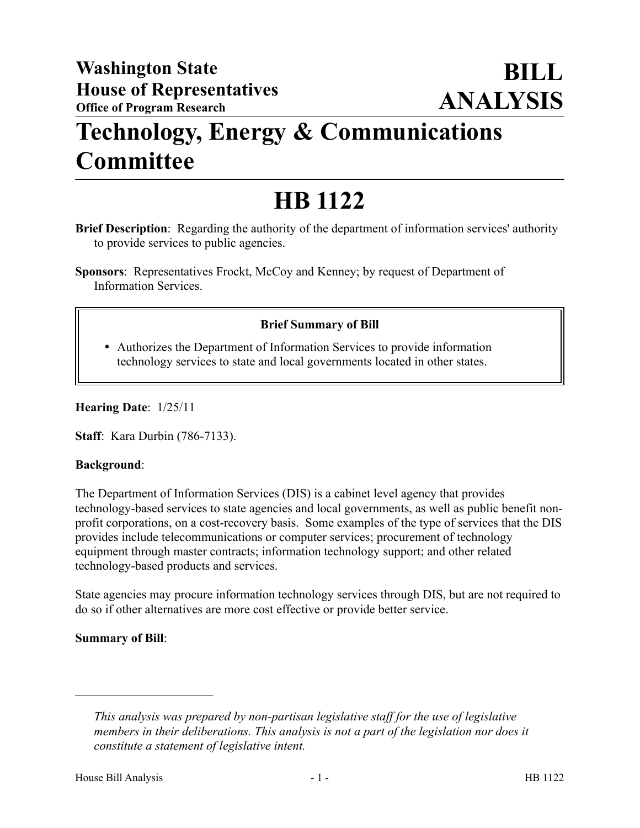## **Technology, Energy & Communications Committee**

# **HB 1122**

**Brief Description**: Regarding the authority of the department of information services' authority to provide services to public agencies.

**Sponsors**: Representatives Frockt, McCoy and Kenney; by request of Department of Information Services.

### **Brief Summary of Bill**

 Authorizes the Department of Information Services to provide information technology services to state and local governments located in other states.

#### **Hearing Date**: 1/25/11

**Staff**: Kara Durbin (786-7133).

#### **Background**:

The Department of Information Services (DIS) is a cabinet level agency that provides technology-based services to state agencies and local governments, as well as public benefit nonprofit corporations, on a cost-recovery basis. Some examples of the type of services that the DIS provides include telecommunications or computer services; procurement of technology equipment through master contracts; information technology support; and other related technology-based products and services.

State agencies may procure information technology services through DIS, but are not required to do so if other alternatives are more cost effective or provide better service.

#### **Summary of Bill**:

––––––––––––––––––––––

*This analysis was prepared by non-partisan legislative staff for the use of legislative members in their deliberations. This analysis is not a part of the legislation nor does it constitute a statement of legislative intent.*